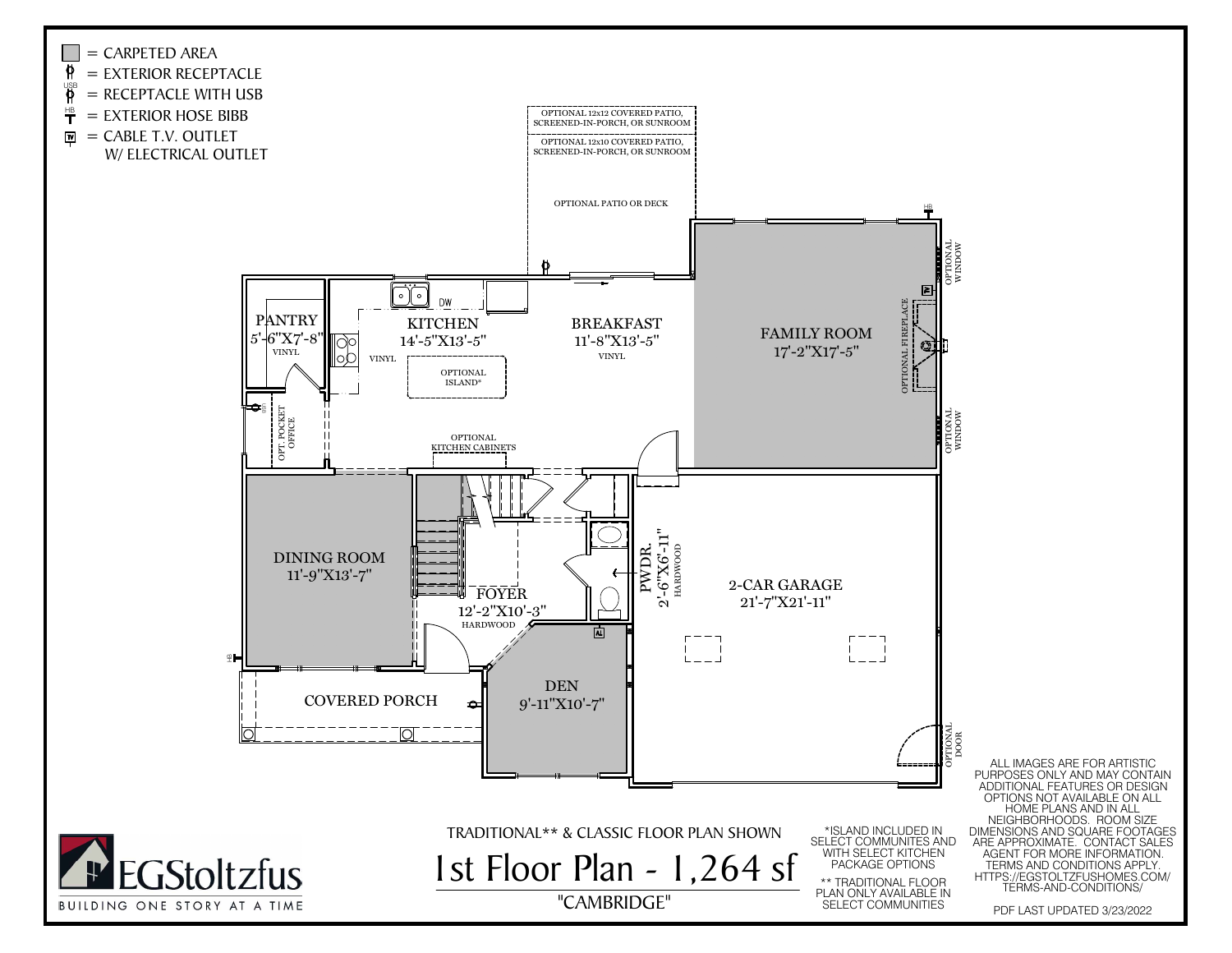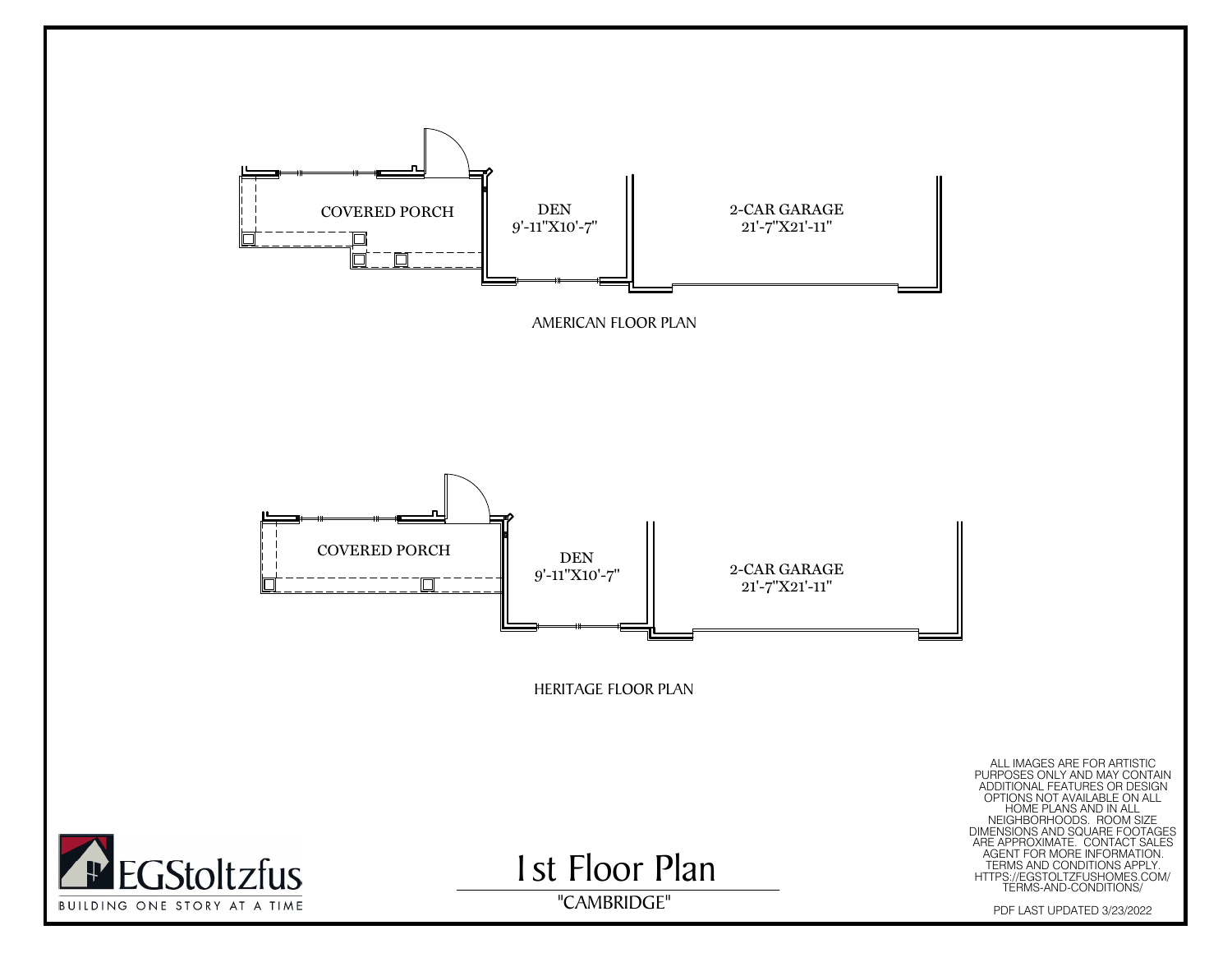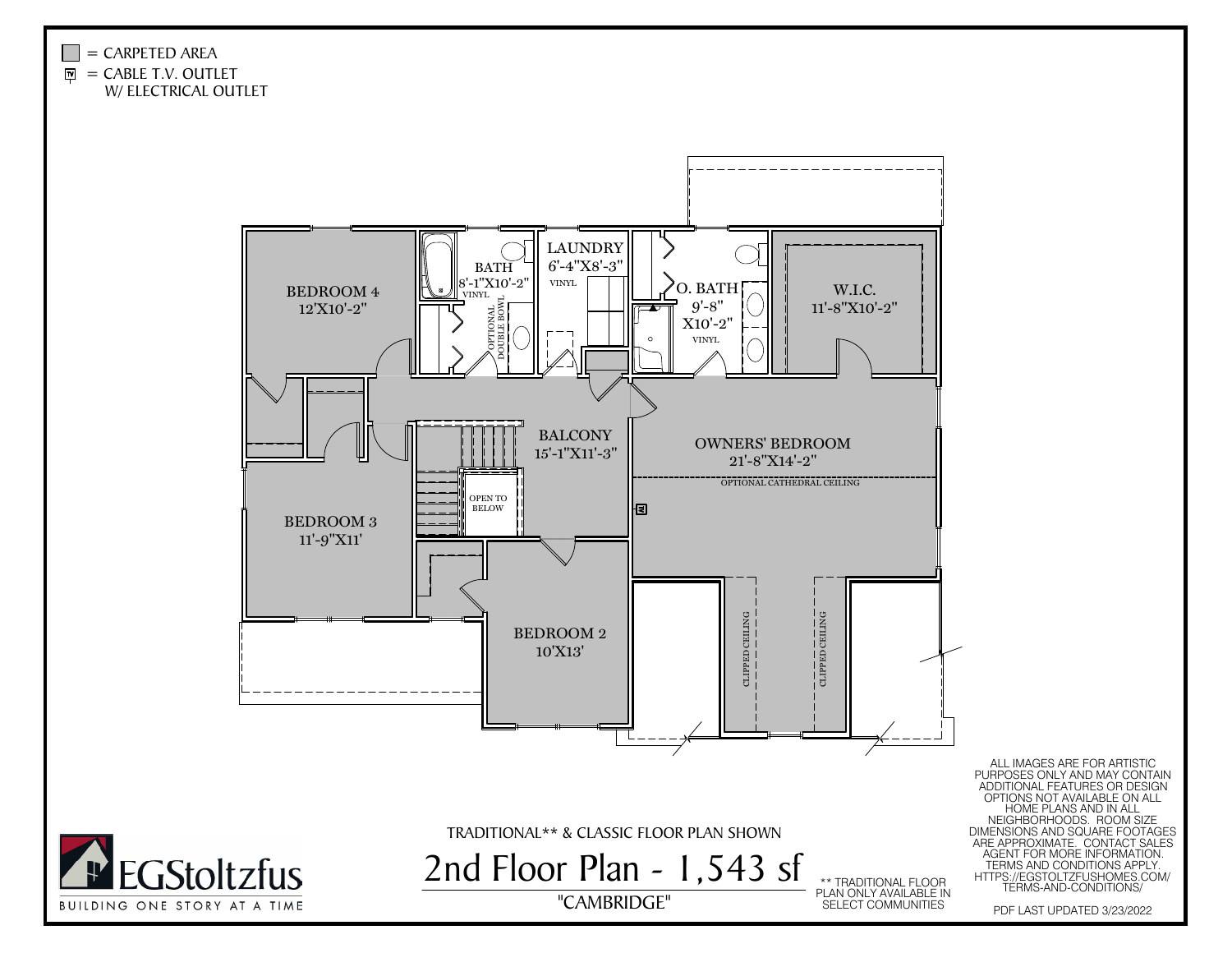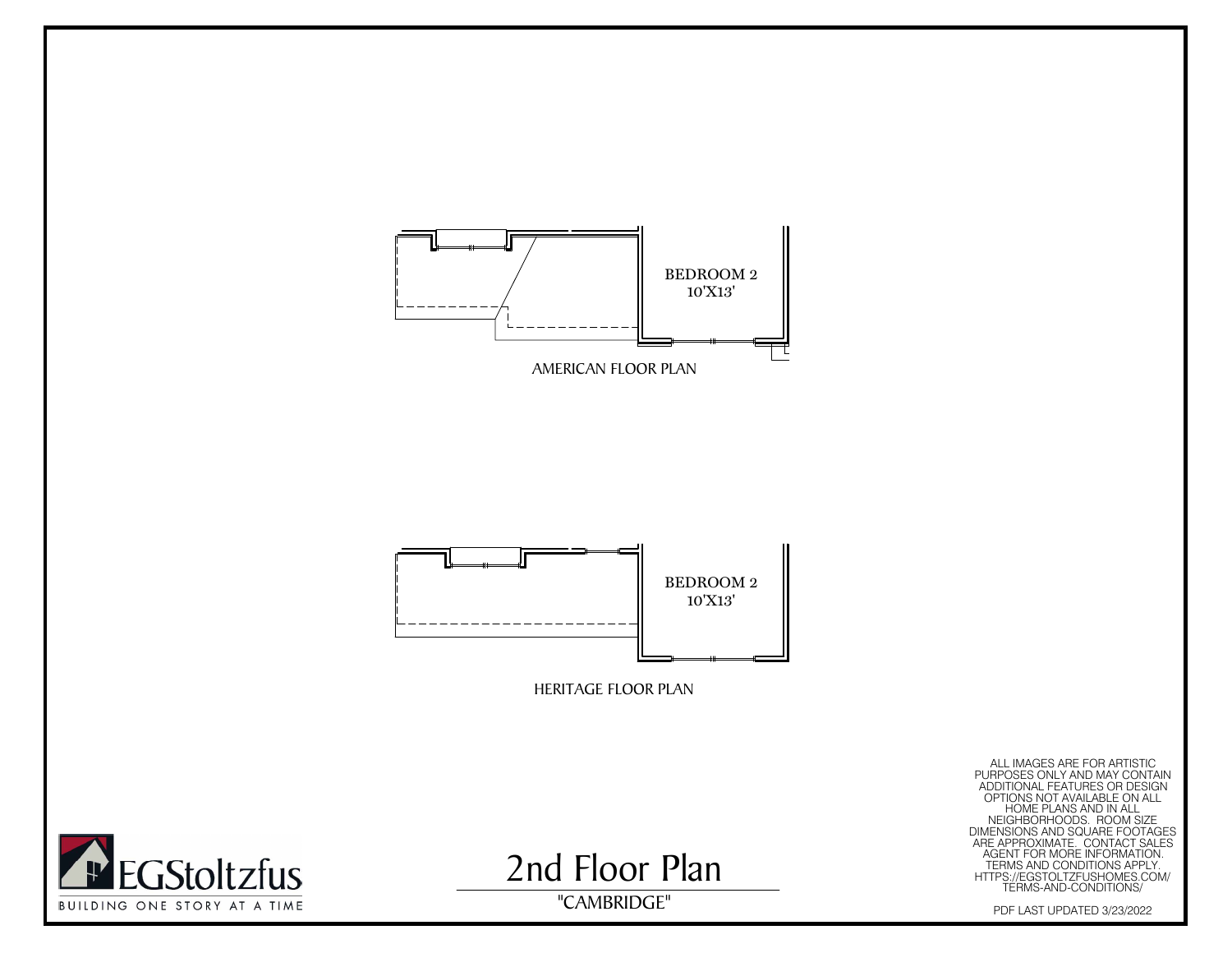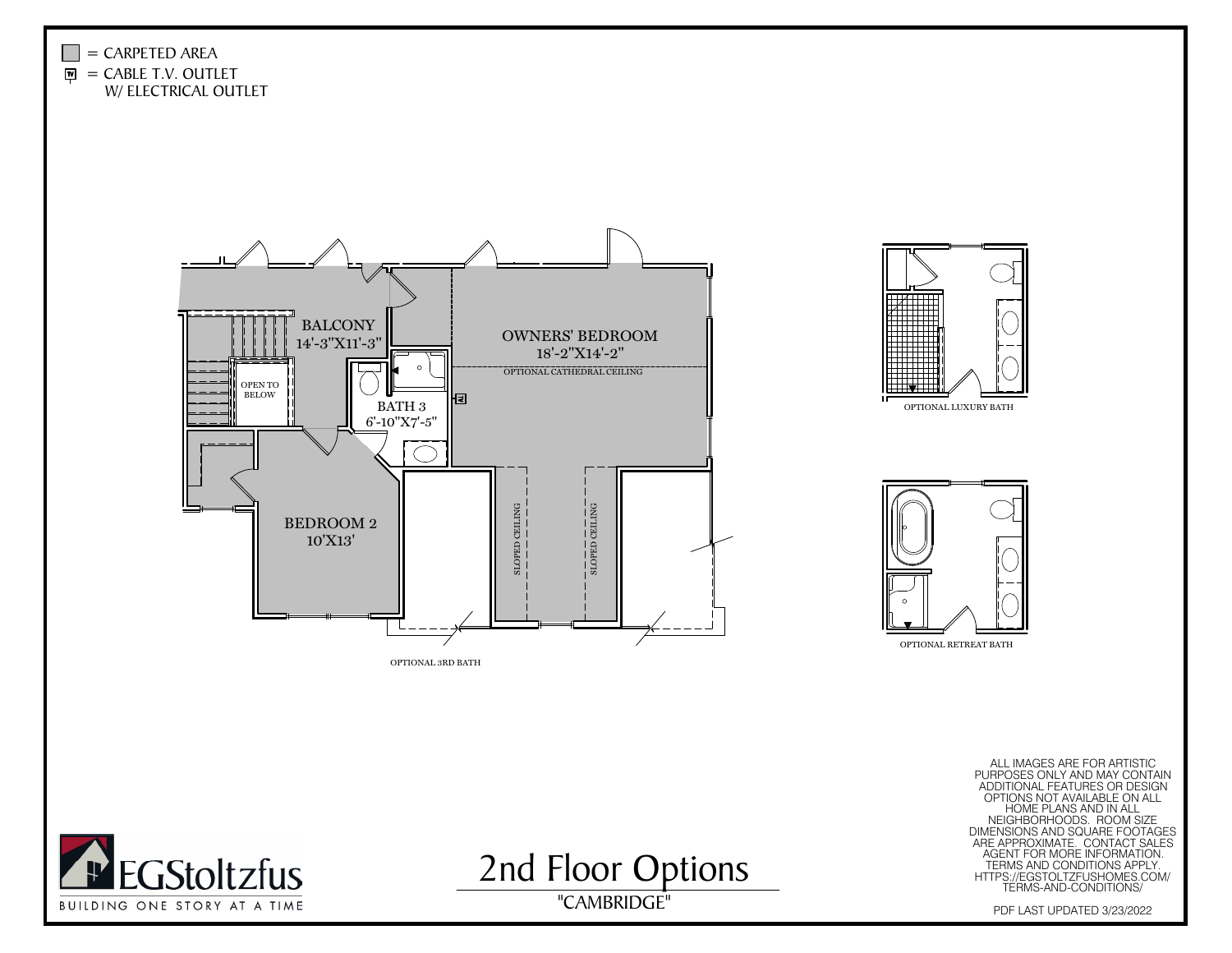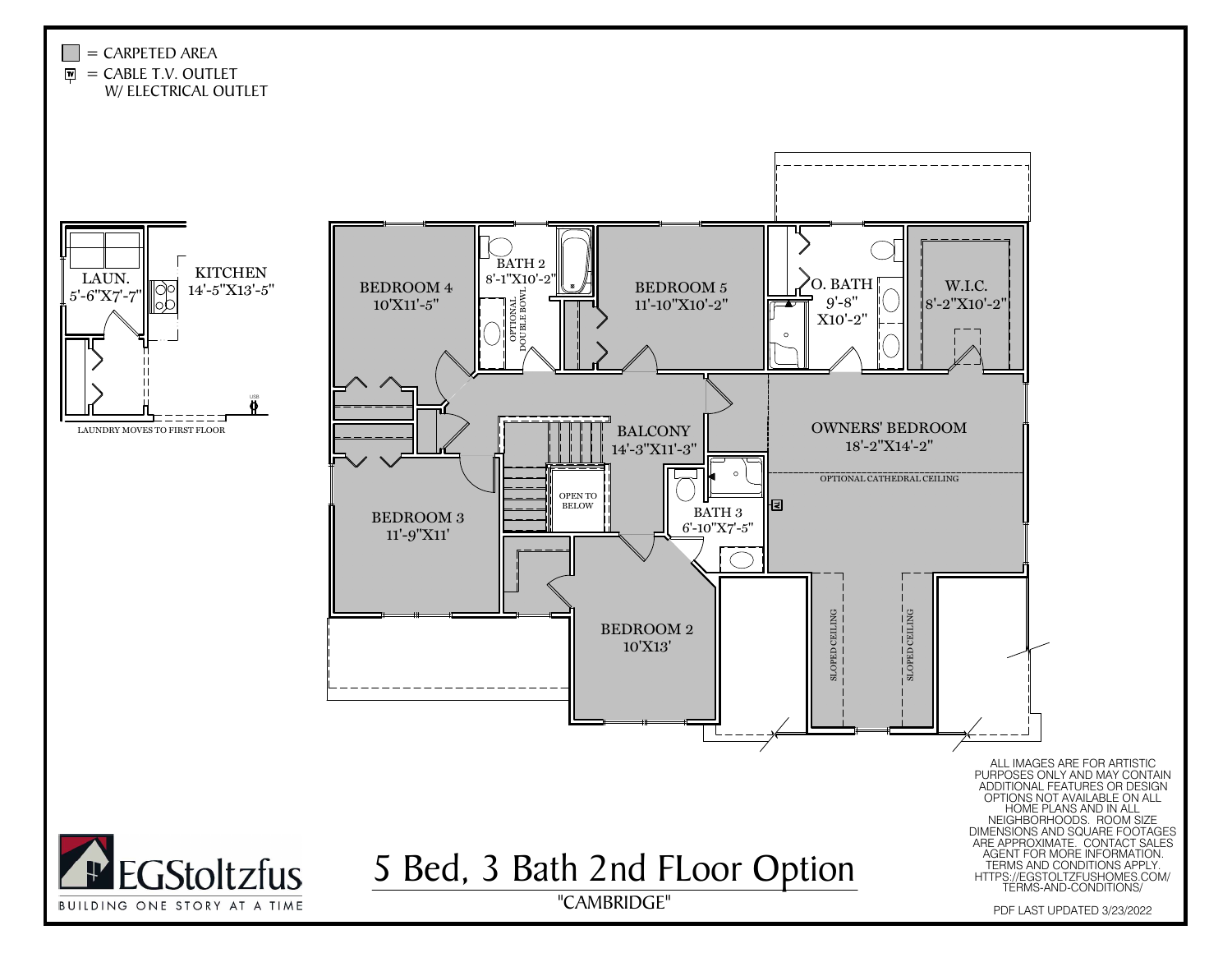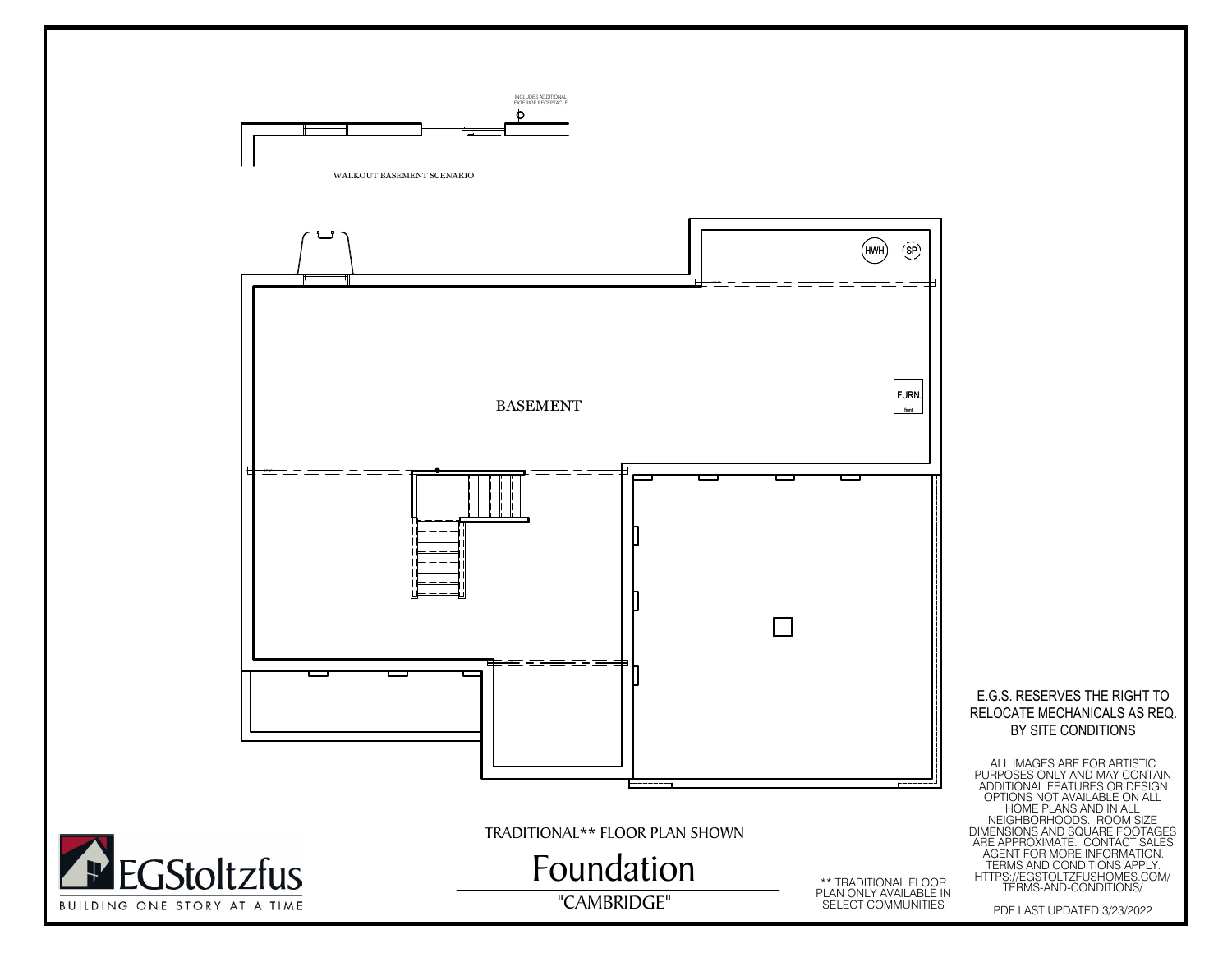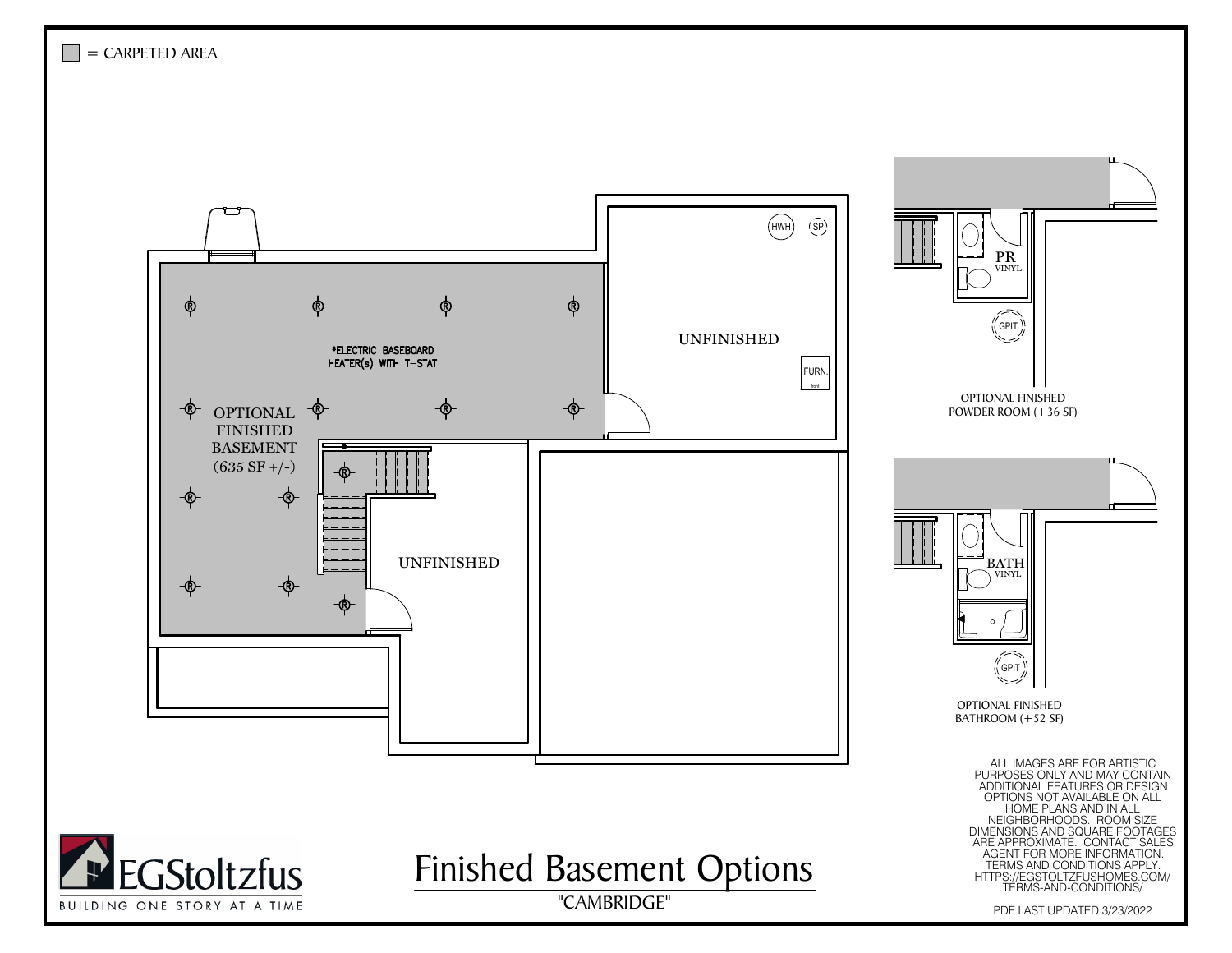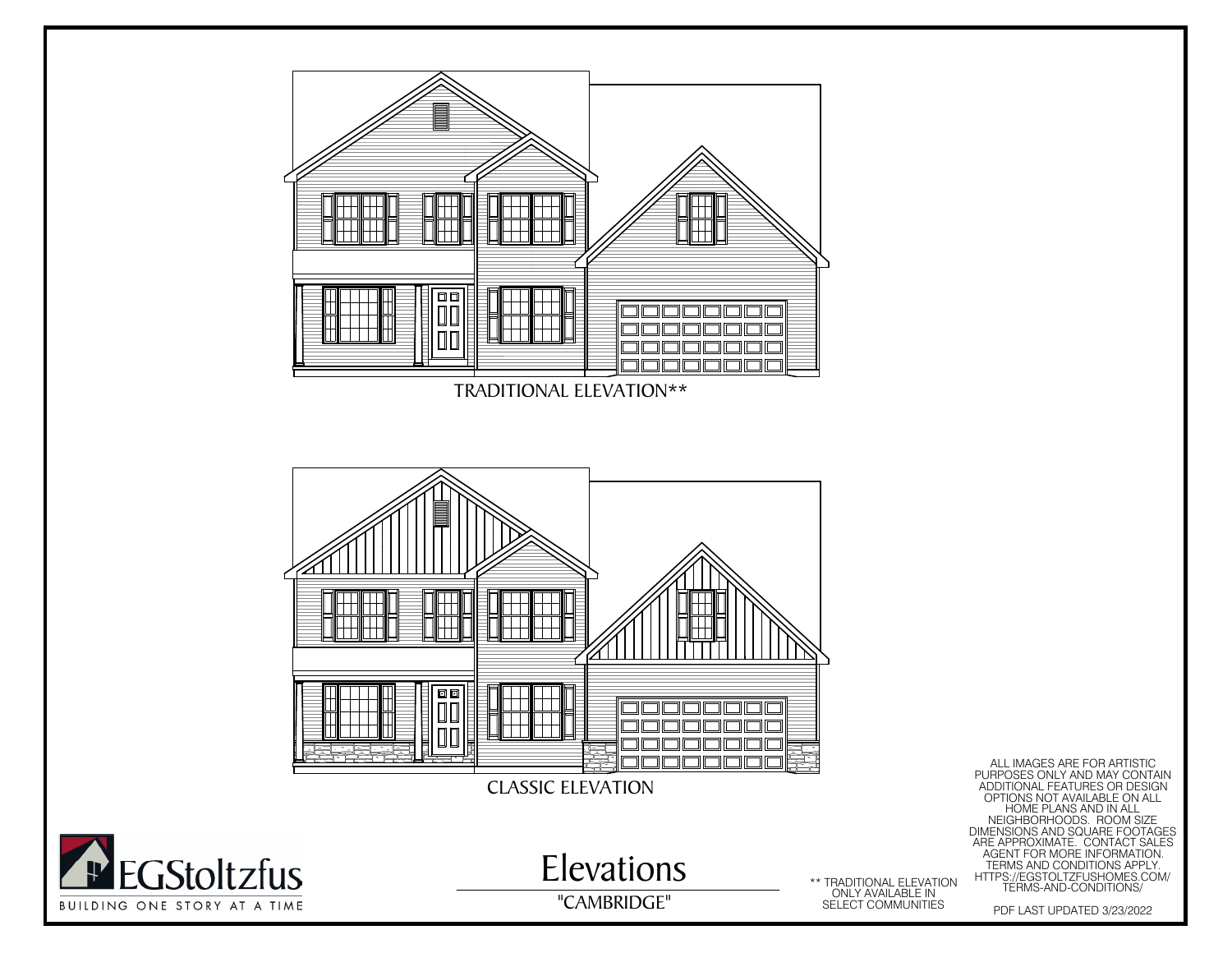

**Th**